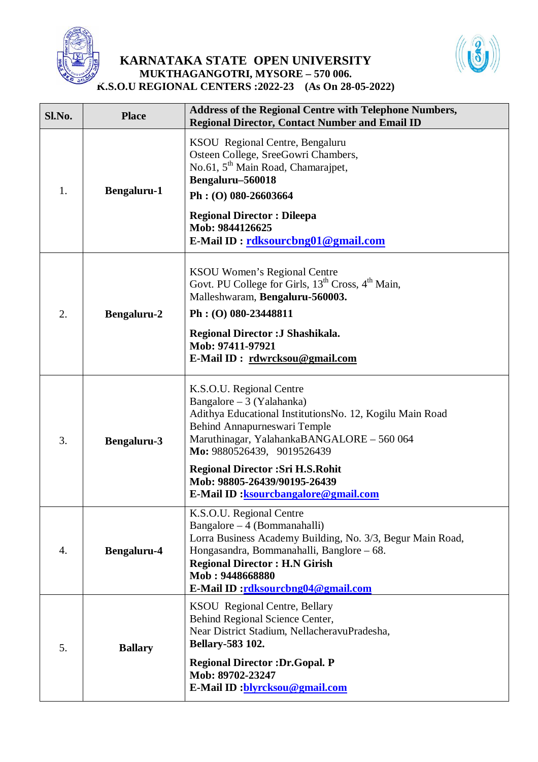

## **KARNATAKA STATE OPEN UNIVERSITY MUKTHAGANGOTRI, MYSORE – 570 006. K.S.O.U REGIONAL CENTERS :2022-23 (As On 28-05-2022)**



| Sl.No. | <b>Place</b>       | <b>Address of the Regional Centre with Telephone Numbers,</b><br><b>Regional Director, Contact Number and Email ID</b>                                                                                                                                                                                                                            |
|--------|--------------------|---------------------------------------------------------------------------------------------------------------------------------------------------------------------------------------------------------------------------------------------------------------------------------------------------------------------------------------------------|
| 1.     | <b>Bengaluru-1</b> | KSOU Regional Centre, Bengaluru<br>Osteen College, SreeGowri Chambers,<br>No.61, 5 <sup>th</sup> Main Road, Chamarajpet,<br>Bengaluru-560018<br>Ph: (O) 080-26603664<br><b>Regional Director: Dileepa</b><br>Mob: 9844126625<br>E-Mail ID: rdksourcbng01@gmail.com                                                                                |
| 2.     | <b>Bengaluru-2</b> | <b>KSOU Women's Regional Centre</b><br>Govt. PU College for Girls, 13 <sup>th</sup> Cross, 4 <sup>th</sup> Main,<br>Malleshwaram, Bengaluru-560003.<br>Ph: (O) 080-23448811<br>Regional Director : J Shashikala.<br>Mob: 97411-97921<br>E-Mail ID: rdwrcksou@gmail.com                                                                            |
| 3.     | <b>Bengaluru-3</b> | K.S.O.U. Regional Centre<br>Bangalore – 3 (Yalahanka)<br>Adithya Educational InstitutionsNo. 12, Kogilu Main Road<br>Behind Annapurneswari Temple<br>Maruthinagar, YalahankaBANGALORE - 560 064<br>Mo: 9880526439, 9019526439<br><b>Regional Director : Sri H.S.Rohit</b><br>Mob: 98805-26439/90195-26439<br>E-Mail ID: ksourcbangalore@gmail.com |
| 4.     | <b>Bengaluru-4</b> | K.S.O.U. Regional Centre<br>Bangalore $-4$ (Bommanahalli)<br>Lorra Business Academy Building, No. 3/3, Begur Main Road,<br>Hongasandra, Bommanahalli, Banglore – 68.<br><b>Regional Director: H.N Girish</b><br>Mob: 9448668880<br>E-Mail ID:rdksourcbng04@gmail.com                                                                              |
| 5.     | <b>Ballary</b>     | <b>KSOU</b> Regional Centre, Bellary<br>Behind Regional Science Center,<br>Near District Stadium, NellacheravuPradesha,<br><b>Bellary-583 102.</b><br><b>Regional Director: Dr. Gopal. P</b><br>Mob: 89702-23247<br>E-Mail ID : blyrcksou@gmail.com                                                                                               |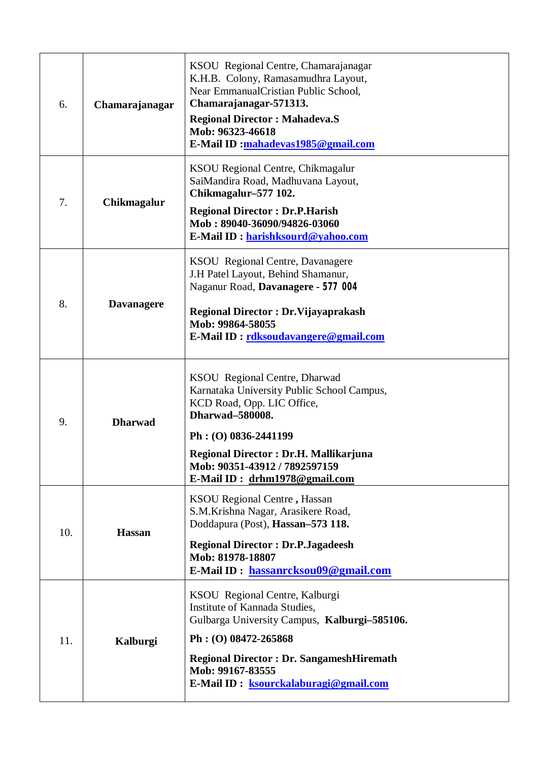| 6.  | Chamarajanagar    | KSOU Regional Centre, Chamarajanagar<br>K.H.B. Colony, Ramasamudhra Layout,<br>Near EmmanualCristian Public School,<br>Chamarajanagar-571313.<br><b>Regional Director: Mahadeva.S</b><br>Mob: 96323-46618<br>E-Mail ID :mahadevas1985@gmail.com                                 |
|-----|-------------------|---------------------------------------------------------------------------------------------------------------------------------------------------------------------------------------------------------------------------------------------------------------------------------|
| 7.  | Chikmagalur       | KSOU Regional Centre, Chikmagalur<br>SaiMandira Road, Madhuvana Layout,<br>Chikmagalur-577 102.<br><b>Regional Director: Dr.P.Harish</b><br>Mob: 89040-36090/94826-03060<br>E-Mail ID: harishksourd@yahoo.com                                                                   |
| 8.  | <b>Davanagere</b> | KSOU Regional Centre, Davanagere<br>J.H Patel Layout, Behind Shamanur,<br>Naganur Road, Davanagere - 577 004<br><b>Regional Director: Dr. Vijayaprakash</b><br>Mob: 99864-58055<br>E-Mail ID: rdksoudavangere@gmail.com                                                         |
| 9.  | <b>Dharwad</b>    | KSOU Regional Centre, Dharwad<br>Karnataka University Public School Campus,<br>KCD Road, Opp. LIC Office,<br><b>Dharwad-580008.</b><br>$Ph: (O) 0836-2441199$<br><b>Regional Director: Dr.H. Mallikarjuna</b><br>Mob: 90351-43912 / 7892597159<br>E-Mail ID: drhm1978@gmail.com |
| 10. | <b>Hassan</b>     | <b>KSOU</b> Regional Centre, Hassan<br>S.M.Krishna Nagar, Arasikere Road,<br>Doddapura (Post), Hassan-573 118.<br><b>Regional Director: Dr.P.Jagadeesh</b><br>Mob: 81978-18807<br>E-Mail ID: hassanrcksou09@gmail.com                                                           |
| 11. | Kalburgi          | KSOU Regional Centre, Kalburgi<br>Institute of Kannada Studies,<br>Gulbarga University Campus, Kalburgi-585106.<br>$Ph: (O) 08472 - 265868$<br><b>Regional Director: Dr. SangameshHiremath</b><br>Mob: 99167-83555<br>E-Mail ID: ksourckalaburagi@gmail.com                     |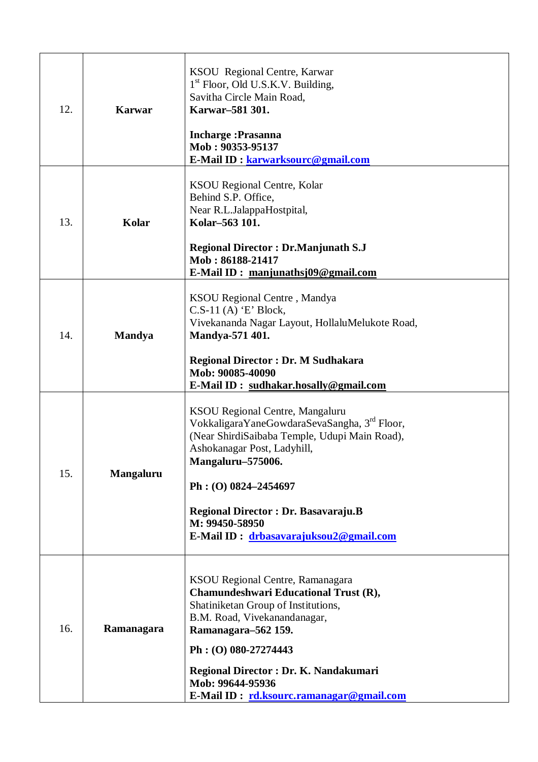| 12. | <b>Karwar</b>    | KSOU Regional Centre, Karwar<br>1 <sup>st</sup> Floor, Old U.S.K.V. Building,<br>Savitha Circle Main Road,<br>Karwar-581 301.<br><b>Incharge: Prasanna</b><br>Mob: 90353-95137<br>E-Mail ID: karwarksourc@gmail.com                                                                                                              |
|-----|------------------|----------------------------------------------------------------------------------------------------------------------------------------------------------------------------------------------------------------------------------------------------------------------------------------------------------------------------------|
| 13. | Kolar            | <b>KSOU</b> Regional Centre, Kolar<br>Behind S.P. Office,<br>Near R.L.JalappaHostpital,<br>Kolar-563 101.<br><b>Regional Director: Dr.Manjunath S.J</b><br>Mob: 86188-21417<br>E-Mail ID: manjunathsj09@gmail.com                                                                                                                |
| 14. | <b>Mandya</b>    | KSOU Regional Centre, Mandya<br>$C.S-11(A)$ 'E' Block,<br>Vivekananda Nagar Layout, HollaluMelukote Road,<br>Mandya-571 401.<br><b>Regional Director: Dr. M Sudhakara</b><br>Mob: 90085-40090<br>E-Mail ID: sudhakar.hosally@gmail.com                                                                                           |
| 15. | <b>Mangaluru</b> | KSOU Regional Centre, Mangaluru<br>VokkaligaraYaneGowdaraSevaSangha, 3 <sup>rd</sup> Floor,<br>(Near ShirdiSaibaba Temple, Udupi Main Road),<br>Ashokanagar Post, Ladyhill,<br>Mangaluru-575006.<br>$Ph: (O) 0824 - 2454697$<br>Regional Director : Dr. Basavaraju.B<br>M: 99450-58950<br>E-Mail ID: drbasavarajuksou2@gmail.com |
| 16. | Ramanagara       | KSOU Regional Centre, Ramanagara<br>Chamundeshwari Educational Trust (R),<br>Shatiniketan Group of Institutions,<br>B.M. Road, Vivekanandanagar,<br>Ramanagara-562 159.<br>Ph: (O) 080-27274443<br>Regional Director: Dr. K. Nandakumari<br>Mob: 99644-95936<br>E-Mail ID: rd.ksourc.ramanagar@gmail.com                         |